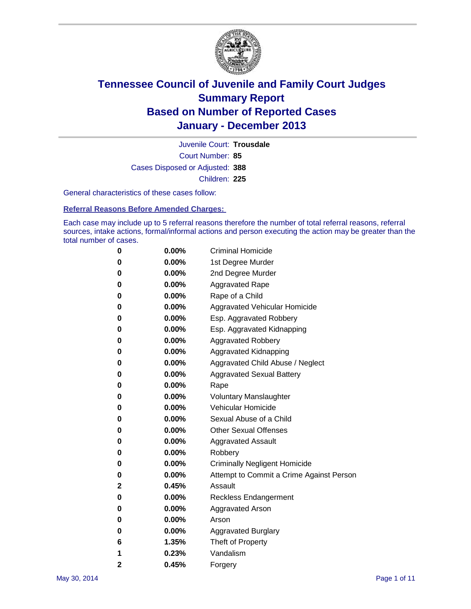

Court Number: **85** Juvenile Court: **Trousdale** Cases Disposed or Adjusted: **388** Children: **225**

General characteristics of these cases follow:

**Referral Reasons Before Amended Charges:** 

Each case may include up to 5 referral reasons therefore the number of total referral reasons, referral sources, intake actions, formal/informal actions and person executing the action may be greater than the total number of cases.

| 0 | $0.00\%$ | <b>Criminal Homicide</b>                 |
|---|----------|------------------------------------------|
| 0 | 0.00%    | 1st Degree Murder                        |
| 0 | 0.00%    | 2nd Degree Murder                        |
| 0 | $0.00\%$ | <b>Aggravated Rape</b>                   |
| 0 | 0.00%    | Rape of a Child                          |
| 0 | 0.00%    | Aggravated Vehicular Homicide            |
| 0 | $0.00\%$ | Esp. Aggravated Robbery                  |
| 0 | 0.00%    | Esp. Aggravated Kidnapping               |
| 0 | 0.00%    | <b>Aggravated Robbery</b>                |
| 0 | $0.00\%$ | Aggravated Kidnapping                    |
| 0 | 0.00%    | Aggravated Child Abuse / Neglect         |
| 0 | 0.00%    | <b>Aggravated Sexual Battery</b>         |
| 0 | 0.00%    | Rape                                     |
| 0 | 0.00%    | <b>Voluntary Manslaughter</b>            |
| 0 | 0.00%    | <b>Vehicular Homicide</b>                |
| 0 | 0.00%    | Sexual Abuse of a Child                  |
| 0 | $0.00\%$ | <b>Other Sexual Offenses</b>             |
| 0 | 0.00%    | <b>Aggravated Assault</b>                |
| 0 | 0.00%    | Robbery                                  |
| 0 | 0.00%    | <b>Criminally Negligent Homicide</b>     |
| 0 | 0.00%    | Attempt to Commit a Crime Against Person |
| 2 | 0.45%    | Assault                                  |
| 0 | 0.00%    | Reckless Endangerment                    |
| 0 | 0.00%    | <b>Aggravated Arson</b>                  |
| 0 | 0.00%    | Arson                                    |
| 0 | 0.00%    | <b>Aggravated Burglary</b>               |
| 6 | 1.35%    | Theft of Property                        |
| 1 | 0.23%    | Vandalism                                |
| 2 | 0.45%    | Forgery                                  |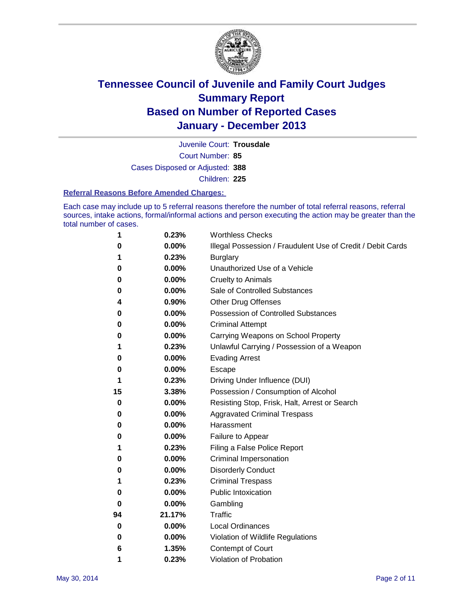

Court Number: **85** Juvenile Court: **Trousdale** Cases Disposed or Adjusted: **388** Children: **225**

#### **Referral Reasons Before Amended Charges:**

Each case may include up to 5 referral reasons therefore the number of total referral reasons, referral sources, intake actions, formal/informal actions and person executing the action may be greater than the total number of cases.

| 1  | 0.23%  | <b>Worthless Checks</b>                                     |  |  |  |
|----|--------|-------------------------------------------------------------|--|--|--|
| 0  | 0.00%  | Illegal Possession / Fraudulent Use of Credit / Debit Cards |  |  |  |
| 1  | 0.23%  | <b>Burglary</b>                                             |  |  |  |
| 0  | 0.00%  | Unauthorized Use of a Vehicle                               |  |  |  |
| 0  | 0.00%  | <b>Cruelty to Animals</b>                                   |  |  |  |
| 0  | 0.00%  | Sale of Controlled Substances                               |  |  |  |
| 4  | 0.90%  | <b>Other Drug Offenses</b>                                  |  |  |  |
| 0  | 0.00%  | <b>Possession of Controlled Substances</b>                  |  |  |  |
| 0  | 0.00%  | <b>Criminal Attempt</b>                                     |  |  |  |
| 0  | 0.00%  | Carrying Weapons on School Property                         |  |  |  |
| 1  | 0.23%  | Unlawful Carrying / Possession of a Weapon                  |  |  |  |
| 0  | 0.00%  | <b>Evading Arrest</b>                                       |  |  |  |
| 0  | 0.00%  | Escape                                                      |  |  |  |
| 1  | 0.23%  | Driving Under Influence (DUI)                               |  |  |  |
| 15 | 3.38%  | Possession / Consumption of Alcohol                         |  |  |  |
| 0  | 0.00%  | Resisting Stop, Frisk, Halt, Arrest or Search               |  |  |  |
| 0  | 0.00%  | <b>Aggravated Criminal Trespass</b>                         |  |  |  |
| 0  | 0.00%  | Harassment                                                  |  |  |  |
| 0  | 0.00%  | Failure to Appear                                           |  |  |  |
| 1  | 0.23%  | Filing a False Police Report                                |  |  |  |
| 0  | 0.00%  | Criminal Impersonation                                      |  |  |  |
| 0  | 0.00%  | <b>Disorderly Conduct</b>                                   |  |  |  |
| 1  | 0.23%  | <b>Criminal Trespass</b>                                    |  |  |  |
| 0  | 0.00%  | Public Intoxication                                         |  |  |  |
| 0  | 0.00%  | Gambling                                                    |  |  |  |
| 94 | 21.17% | <b>Traffic</b>                                              |  |  |  |
| 0  | 0.00%  | <b>Local Ordinances</b>                                     |  |  |  |
| 0  | 0.00%  | Violation of Wildlife Regulations                           |  |  |  |
| 6  | 1.35%  | Contempt of Court                                           |  |  |  |
| 1  | 0.23%  | Violation of Probation                                      |  |  |  |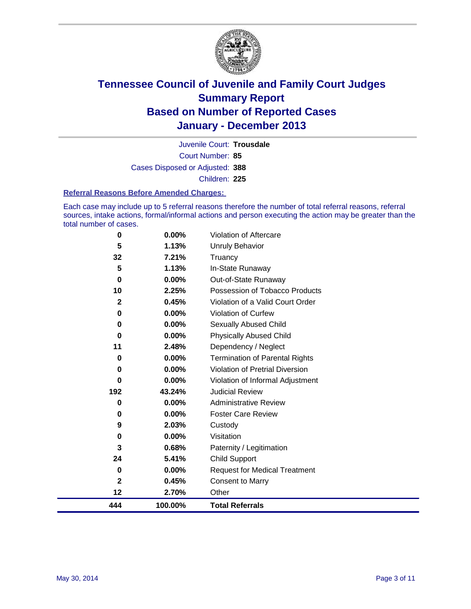

Court Number: **85** Juvenile Court: **Trousdale** Cases Disposed or Adjusted: **388** Children: **225**

#### **Referral Reasons Before Amended Charges:**

Each case may include up to 5 referral reasons therefore the number of total referral reasons, referral sources, intake actions, formal/informal actions and person executing the action may be greater than the total number of cases.

| 444          | 100.00%        | <b>Total Referrals</b>                 |
|--------------|----------------|----------------------------------------|
| 12           | 2.70%          | Other                                  |
| $\mathbf{2}$ | 0.45%          | <b>Consent to Marry</b>                |
| $\bf{0}$     | 0.00%          | <b>Request for Medical Treatment</b>   |
| 24           | 5.41%          | <b>Child Support</b>                   |
| 3            | 0.68%          | Paternity / Legitimation               |
| 0            | 0.00%          | Visitation                             |
| 9            | 2.03%          | Custody                                |
| 0            | $0.00\%$       | <b>Foster Care Review</b>              |
| $\bf{0}$     | $0.00\%$       | <b>Administrative Review</b>           |
| 192          | 43.24%         | <b>Judicial Review</b>                 |
| $\bf{0}$     | 0.00%          | Violation of Informal Adjustment       |
| 0            | 0.00%          | <b>Violation of Pretrial Diversion</b> |
| 0            | $0.00\%$       | <b>Termination of Parental Rights</b>  |
| 11           | 2.48%          | Dependency / Neglect                   |
| 0            | $0.00\%$       | <b>Physically Abused Child</b>         |
| $\bf{0}$     | $0.00\%$       | Sexually Abused Child                  |
| 0            | 0.00%          | Violation of Curfew                    |
| $\mathbf{2}$ | 0.45%          | Violation of a Valid Court Order       |
| 10           | 2.25%          | Possession of Tobacco Products         |
| $\bf{0}$     | $0.00\%$       | Out-of-State Runaway                   |
| 5            | 1.13%          | In-State Runaway                       |
| 5<br>32      | 1.13%<br>7.21% | <b>Unruly Behavior</b><br>Truancy      |
|              |                |                                        |
| 0            | 0.00%          | Violation of Aftercare                 |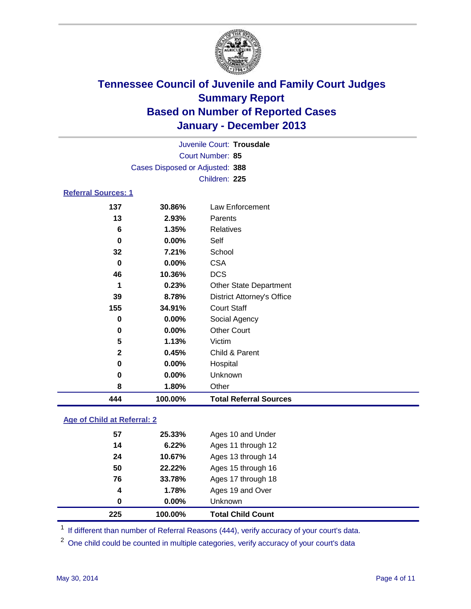

| Juvenile Court: Trousdale  |                                 |                                   |  |  |  |  |
|----------------------------|---------------------------------|-----------------------------------|--|--|--|--|
| Court Number: 85           |                                 |                                   |  |  |  |  |
|                            | Cases Disposed or Adjusted: 388 |                                   |  |  |  |  |
|                            | Children: 225                   |                                   |  |  |  |  |
| <b>Referral Sources: 1</b> |                                 |                                   |  |  |  |  |
| 137                        | 30.86%                          | Law Enforcement                   |  |  |  |  |
| 13                         | 2.93%                           | Parents                           |  |  |  |  |
| 6                          | 1.35%                           | <b>Relatives</b>                  |  |  |  |  |
| 0                          | $0.00\%$                        | Self                              |  |  |  |  |
| 32                         | 7.21%                           | School                            |  |  |  |  |
| 0                          | 0.00%                           | <b>CSA</b>                        |  |  |  |  |
| 46                         | 10.36%                          | <b>DCS</b>                        |  |  |  |  |
| 1                          | 0.23%                           | <b>Other State Department</b>     |  |  |  |  |
| 39                         | 8.78%                           | <b>District Attorney's Office</b> |  |  |  |  |
| 155                        | 34.91%                          | <b>Court Staff</b>                |  |  |  |  |
| 0                          | $0.00\%$                        | Social Agency                     |  |  |  |  |
| 0                          | 0.00%                           | <b>Other Court</b>                |  |  |  |  |
| 5                          | 1.13%                           | Victim                            |  |  |  |  |
| $\mathbf{2}$               | 0.45%                           | Child & Parent                    |  |  |  |  |
| 0                          | 0.00%                           | Hospital                          |  |  |  |  |
| 0                          | 0.00%                           | Unknown                           |  |  |  |  |
| 8                          | 1.80%                           | Other                             |  |  |  |  |

### **Age of Child at Referral: 2**

| 0  | $0.00\%$ | <b>Unknown</b>     |
|----|----------|--------------------|
| 4  | 1.78%    | Ages 19 and Over   |
| 76 | 33.78%   | Ages 17 through 18 |
| 50 | 22.22%   | Ages 15 through 16 |
| 24 | 10.67%   | Ages 13 through 14 |
| 14 | 6.22%    | Ages 11 through 12 |
| 57 | 25.33%   | Ages 10 and Under  |
|    |          |                    |

<sup>1</sup> If different than number of Referral Reasons (444), verify accuracy of your court's data.

<sup>2</sup> One child could be counted in multiple categories, verify accuracy of your court's data

**100.00% Total Referral Sources**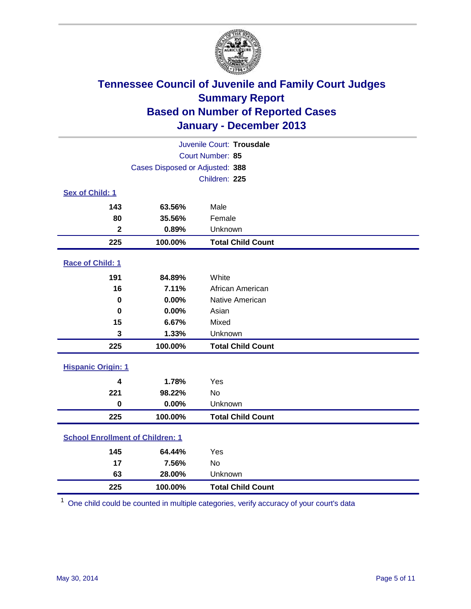

| Juvenile Court: Trousdale               |                                 |                          |  |  |
|-----------------------------------------|---------------------------------|--------------------------|--|--|
|                                         |                                 | Court Number: 85         |  |  |
|                                         | Cases Disposed or Adjusted: 388 |                          |  |  |
|                                         |                                 | Children: 225            |  |  |
| Sex of Child: 1                         |                                 |                          |  |  |
| 143                                     | 63.56%                          | Male                     |  |  |
| 80                                      | 35.56%                          | Female                   |  |  |
| $\mathbf{2}$                            | 0.89%                           | Unknown                  |  |  |
| 225                                     | 100.00%                         | <b>Total Child Count</b> |  |  |
| Race of Child: 1                        |                                 |                          |  |  |
| 191                                     | 84.89%                          | White                    |  |  |
| 16                                      | 7.11%                           | African American         |  |  |
| 0                                       | 0.00%                           | Native American          |  |  |
| 0                                       | 0.00%                           | Asian                    |  |  |
| 15                                      | 6.67%                           | Mixed                    |  |  |
| 3                                       | 1.33%                           | Unknown                  |  |  |
| 225                                     | 100.00%                         | <b>Total Child Count</b> |  |  |
| <b>Hispanic Origin: 1</b>               |                                 |                          |  |  |
| 4                                       | 1.78%                           | Yes                      |  |  |
| 221                                     | 98.22%                          | <b>No</b>                |  |  |
| $\mathbf 0$                             | 0.00%                           | Unknown                  |  |  |
| 225                                     | 100.00%                         | <b>Total Child Count</b> |  |  |
| <b>School Enrollment of Children: 1</b> |                                 |                          |  |  |
| 145                                     | 64.44%                          | Yes                      |  |  |
| 17                                      | 7.56%                           | <b>No</b>                |  |  |
| 63                                      | 28.00%                          | Unknown                  |  |  |
| 225                                     | 100.00%                         | <b>Total Child Count</b> |  |  |

One child could be counted in multiple categories, verify accuracy of your court's data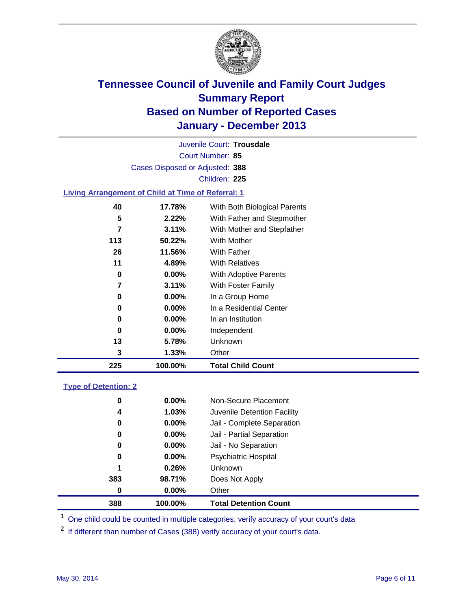

Court Number: **85** Juvenile Court: **Trousdale** Cases Disposed or Adjusted: **388** Children: **225**

### **Living Arrangement of Child at Time of Referral: 1**

| 225            | 100.00%  | <b>Total Child Count</b>     |  |
|----------------|----------|------------------------------|--|
| 3              | 1.33%    | Other                        |  |
| 13             | 5.78%    | Unknown                      |  |
| 0              | $0.00\%$ | Independent                  |  |
| 0              | $0.00\%$ | In an Institution            |  |
| 0              | $0.00\%$ | In a Residential Center      |  |
| 0              | $0.00\%$ | In a Group Home              |  |
| $\overline{7}$ | 3.11%    | With Foster Family           |  |
| 0              | $0.00\%$ | With Adoptive Parents        |  |
| 11             | 4.89%    | <b>With Relatives</b>        |  |
| 26             | 11.56%   | <b>With Father</b>           |  |
| 113            | 50.22%   | With Mother                  |  |
| $\overline{7}$ | 3.11%    | With Mother and Stepfather   |  |
| 5              | 2.22%    | With Father and Stepmother   |  |
| 40             | 17.78%   | With Both Biological Parents |  |
|                |          |                              |  |

#### **Type of Detention: 2**

| 388 | 100.00%  | <b>Total Detention Count</b> |  |
|-----|----------|------------------------------|--|
| 0   | 0.00%    | Other                        |  |
| 383 | 98.71%   | Does Not Apply               |  |
| 1   | 0.26%    | <b>Unknown</b>               |  |
| 0   | $0.00\%$ | <b>Psychiatric Hospital</b>  |  |
| 0   | 0.00%    | Jail - No Separation         |  |
| 0   | 0.00%    | Jail - Partial Separation    |  |
| 0   | 0.00%    | Jail - Complete Separation   |  |
| 4   | 1.03%    | Juvenile Detention Facility  |  |
| 0   | $0.00\%$ | Non-Secure Placement         |  |
|     |          |                              |  |

<sup>1</sup> One child could be counted in multiple categories, verify accuracy of your court's data

<sup>2</sup> If different than number of Cases (388) verify accuracy of your court's data.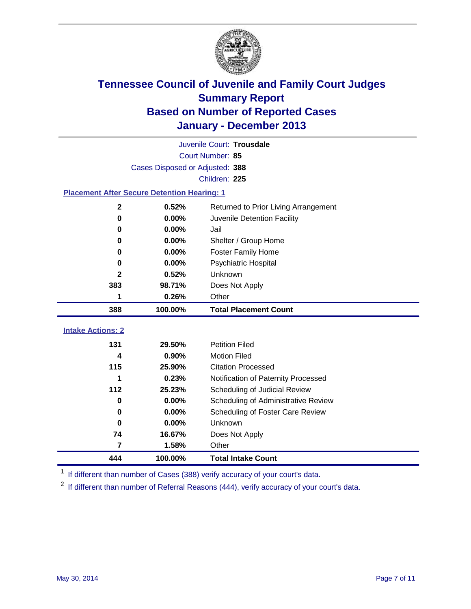

|                                                    | Juvenile Court: Trousdale       |                                      |  |  |  |
|----------------------------------------------------|---------------------------------|--------------------------------------|--|--|--|
|                                                    | Court Number: 85                |                                      |  |  |  |
|                                                    | Cases Disposed or Adjusted: 388 |                                      |  |  |  |
|                                                    | Children: 225                   |                                      |  |  |  |
| <b>Placement After Secure Detention Hearing: 1</b> |                                 |                                      |  |  |  |
| $\mathbf 2$                                        | 0.52%                           | Returned to Prior Living Arrangement |  |  |  |
| 0                                                  | 0.00%                           | Juvenile Detention Facility          |  |  |  |
| 0                                                  | 0.00%                           | Jail                                 |  |  |  |
| 0                                                  | $0.00\%$                        | Shelter / Group Home                 |  |  |  |
| 0                                                  | 0.00%                           | <b>Foster Family Home</b>            |  |  |  |
| 0                                                  | 0.00%                           | Psychiatric Hospital                 |  |  |  |
| $\mathbf{2}$                                       | 0.52%                           | Unknown                              |  |  |  |
| 383                                                | 98.71%                          | Does Not Apply                       |  |  |  |
| 1                                                  | 0.26%                           | Other                                |  |  |  |
| 388                                                | 100.00%                         | <b>Total Placement Count</b>         |  |  |  |
| <b>Intake Actions: 2</b>                           |                                 |                                      |  |  |  |
| 131                                                | 29.50%                          | <b>Petition Filed</b>                |  |  |  |
| 4                                                  | 0.90%                           |                                      |  |  |  |
|                                                    |                                 | <b>Motion Filed</b>                  |  |  |  |
| 115                                                | 25.90%                          | <b>Citation Processed</b>            |  |  |  |
| 1                                                  | 0.23%                           | Notification of Paternity Processed  |  |  |  |
| 112                                                | 25.23%                          | Scheduling of Judicial Review        |  |  |  |
| $\bf{0}$                                           | 0.00%                           | Scheduling of Administrative Review  |  |  |  |
| $\bf{0}$                                           | 0.00%                           | Scheduling of Foster Care Review     |  |  |  |
| $\bf{0}$                                           | 0.00%                           | Unknown                              |  |  |  |
| 74                                                 | 16.67%                          | Does Not Apply                       |  |  |  |
| 7                                                  | 1.58%                           | Other                                |  |  |  |

<sup>1</sup> If different than number of Cases (388) verify accuracy of your court's data.

If different than number of Referral Reasons (444), verify accuracy of your court's data.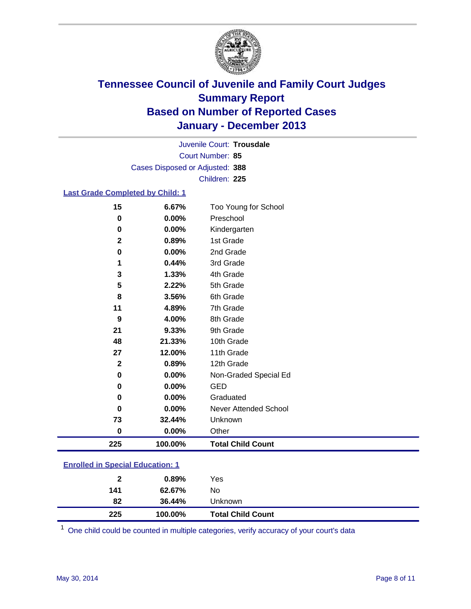

Court Number: **85** Juvenile Court: **Trousdale** Cases Disposed or Adjusted: **388** Children: **225**

### **Last Grade Completed by Child: 1**

| 15           | 6.67%   | Too Young for School     |
|--------------|---------|--------------------------|
| 0            | 0.00%   | Preschool                |
| 0            | 0.00%   | Kindergarten             |
| $\mathbf{2}$ | 0.89%   | 1st Grade                |
| 0            | 0.00%   | 2nd Grade                |
| 1            | 0.44%   | 3rd Grade                |
| 3            | 1.33%   | 4th Grade                |
| 5            | 2.22%   | 5th Grade                |
| 8            | 3.56%   | 6th Grade                |
| 11           | 4.89%   | 7th Grade                |
| 9            | 4.00%   | 8th Grade                |
| 21           | 9.33%   | 9th Grade                |
| 48           | 21.33%  | 10th Grade               |
| 27           | 12.00%  | 11th Grade               |
| $\mathbf{2}$ | 0.89%   | 12th Grade               |
| 0            | 0.00%   | Non-Graded Special Ed    |
| 0            | 0.00%   | <b>GED</b>               |
| 0            | 0.00%   | Graduated                |
| $\bf{0}$     | 0.00%   | Never Attended School    |
| 73           | 32.44%  | Unknown                  |
| $\bf{0}$     | 0.00%   | Other                    |
| 225          | 100.00% | <b>Total Child Count</b> |

### **Enrolled in Special Education: 1**

| 82<br>225 | 36.44%<br>100.00% | <b>Unknown</b><br><b>Total Child Count</b> |
|-----------|-------------------|--------------------------------------------|
|           |                   |                                            |
| 141       | 62.67%            | No                                         |
| 2         | $0.89\%$          | Yes                                        |

One child could be counted in multiple categories, verify accuracy of your court's data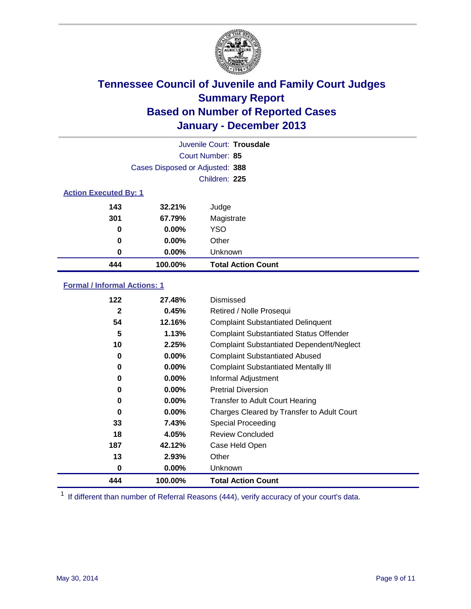

| Juvenile Court: Trousdale    |                                 |                           |  |  |  |
|------------------------------|---------------------------------|---------------------------|--|--|--|
|                              | Court Number: 85                |                           |  |  |  |
|                              | Cases Disposed or Adjusted: 388 |                           |  |  |  |
|                              | Children: 225                   |                           |  |  |  |
| <b>Action Executed By: 1</b> |                                 |                           |  |  |  |
| 143                          | 32.21%                          | Judge                     |  |  |  |
| 301                          | 67.79%                          | Magistrate                |  |  |  |
| 0                            | $0.00\%$                        | <b>YSO</b>                |  |  |  |
| 0                            | $0.00\%$                        | Other                     |  |  |  |
| 0                            | $0.00\%$                        | Unknown                   |  |  |  |
| 444                          | 100.00%                         | <b>Total Action Count</b> |  |  |  |

### **Formal / Informal Actions: 1**

| 122          | 27.48%   | Dismissed                                        |
|--------------|----------|--------------------------------------------------|
| $\mathbf{2}$ | 0.45%    | Retired / Nolle Prosequi                         |
| 54           | 12.16%   | <b>Complaint Substantiated Delinquent</b>        |
| 5            | 1.13%    | <b>Complaint Substantiated Status Offender</b>   |
| 10           | 2.25%    | <b>Complaint Substantiated Dependent/Neglect</b> |
| 0            | $0.00\%$ | <b>Complaint Substantiated Abused</b>            |
| 0            | $0.00\%$ | <b>Complaint Substantiated Mentally III</b>      |
| 0            | $0.00\%$ | Informal Adjustment                              |
| 0            | $0.00\%$ | <b>Pretrial Diversion</b>                        |
| 0            | 0.00%    | <b>Transfer to Adult Court Hearing</b>           |
| 0            | $0.00\%$ | Charges Cleared by Transfer to Adult Court       |
| 33           | 7.43%    | Special Proceeding                               |
| 18           | 4.05%    | <b>Review Concluded</b>                          |
| 187          | 42.12%   | Case Held Open                                   |
| 13           | 2.93%    | Other                                            |
| 0            | $0.00\%$ | <b>Unknown</b>                                   |
| 444          | 100.00%  | <b>Total Action Count</b>                        |

<sup>1</sup> If different than number of Referral Reasons (444), verify accuracy of your court's data.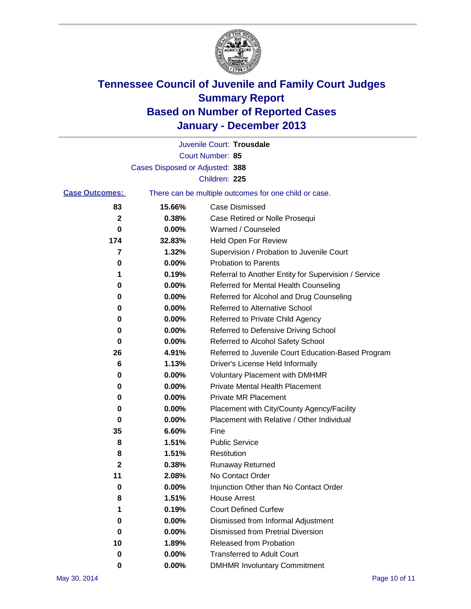

|                       |                                 | Juvenile Court: Trousdale                             |
|-----------------------|---------------------------------|-------------------------------------------------------|
|                       |                                 | Court Number: 85                                      |
|                       | Cases Disposed or Adjusted: 388 |                                                       |
|                       |                                 | Children: 225                                         |
| <b>Case Outcomes:</b> |                                 | There can be multiple outcomes for one child or case. |
| 83                    | 15.66%                          | Case Dismissed                                        |
| 2                     | 0.38%                           | Case Retired or Nolle Prosequi                        |
| 0                     | 0.00%                           | Warned / Counseled                                    |
| 174                   | 32.83%                          | <b>Held Open For Review</b>                           |
| 7                     | 1.32%                           | Supervision / Probation to Juvenile Court             |
| 0                     | 0.00%                           | <b>Probation to Parents</b>                           |
| 1                     | 0.19%                           | Referral to Another Entity for Supervision / Service  |
| 0                     | 0.00%                           | Referred for Mental Health Counseling                 |
| 0                     | 0.00%                           | Referred for Alcohol and Drug Counseling              |
| 0                     | 0.00%                           | Referred to Alternative School                        |
| 0                     | 0.00%                           | Referred to Private Child Agency                      |
| 0                     | 0.00%                           | Referred to Defensive Driving School                  |
| 0                     | 0.00%                           | Referred to Alcohol Safety School                     |
| 26                    | 4.91%                           | Referred to Juvenile Court Education-Based Program    |
| 6                     | 1.13%                           | Driver's License Held Informally                      |
| 0                     | 0.00%                           | <b>Voluntary Placement with DMHMR</b>                 |
| 0                     | 0.00%                           | <b>Private Mental Health Placement</b>                |
| 0                     | 0.00%                           | Private MR Placement                                  |
| 0                     | 0.00%                           | Placement with City/County Agency/Facility            |
| 0                     | 0.00%                           | Placement with Relative / Other Individual            |
| 35                    | 6.60%                           | Fine                                                  |
| 8                     | 1.51%                           | <b>Public Service</b>                                 |
| 8                     | 1.51%                           | Restitution                                           |
| 2                     | 0.38%                           | <b>Runaway Returned</b>                               |
| 11                    | 2.08%                           | No Contact Order                                      |
| 0                     | 0.00%                           | Injunction Other than No Contact Order                |
| 8                     | 1.51%                           | <b>House Arrest</b>                                   |
| 1                     | 0.19%                           | <b>Court Defined Curfew</b>                           |
| 0                     | 0.00%                           | Dismissed from Informal Adjustment                    |
| 0                     | 0.00%                           | <b>Dismissed from Pretrial Diversion</b>              |
| 10                    | 1.89%                           | Released from Probation                               |
| 0                     | 0.00%                           | <b>Transferred to Adult Court</b>                     |
| 0                     | $0.00\%$                        | <b>DMHMR Involuntary Commitment</b>                   |